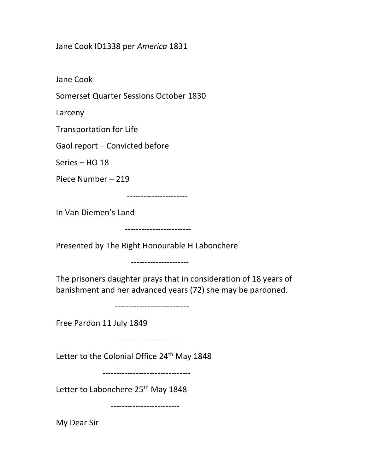## Jane Cook ID1338 per America 1831

Jane Cook

Somerset Quarter Sessions October 1830

Larceny

Transportation for Life

Gaol report – Convicted before

Series – HO 18

Piece Number – 219

----------------------

In Van Diemen's Land

------------------------

Presented by The Right Honourable H Labonchere

---------------------

The prisoners daughter prays that in consideration of 18 years of banishment and her advanced years (72) she may be pardoned.

---------------------------

Free Pardon 11 July 1849

-----------------------

Letter to the Colonial Office 24<sup>th</sup> May 1848

--------------------------------

Letter to Labonchere 25<sup>th</sup> May 1848

-------------------------

My Dear Sir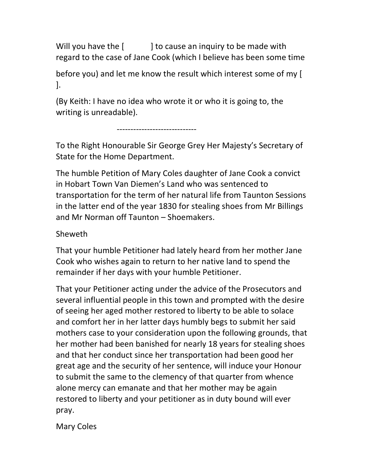Will you have the [ ] to cause an inquiry to be made with regard to the case of Jane Cook (which I believe has been some time

before you) and let me know the result which interest some of my [ ].

(By Keith: I have no idea who wrote it or who it is going to, the writing is unreadable).

-----------------------------

To the Right Honourable Sir George Grey Her Majesty's Secretary of State for the Home Department.

The humble Petition of Mary Coles daughter of Jane Cook a convict in Hobart Town Van Diemen's Land who was sentenced to transportation for the term of her natural life from Taunton Sessions in the latter end of the year 1830 for stealing shoes from Mr Billings and Mr Norman off Taunton – Shoemakers.

## Sheweth

That your humble Petitioner had lately heard from her mother Jane Cook who wishes again to return to her native land to spend the remainder if her days with your humble Petitioner.

That your Petitioner acting under the advice of the Prosecutors and several influential people in this town and prompted with the desire of seeing her aged mother restored to liberty to be able to solace and comfort her in her latter days humbly begs to submit her said mothers case to your consideration upon the following grounds, that her mother had been banished for nearly 18 years for stealing shoes and that her conduct since her transportation had been good her great age and the security of her sentence, will induce your Honour to submit the same to the clemency of that quarter from whence alone mercy can emanate and that her mother may be again restored to liberty and your petitioner as in duty bound will ever pray.

Mary Coles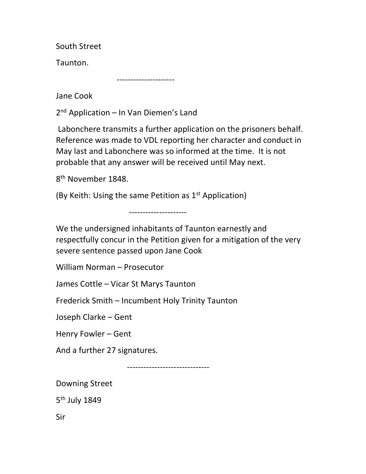South Street

Taunton.

---------------------

Jane Cook

2 nd Application – In Van Diemen's Land

 Labonchere transmits a further application on the prisoners behalf. Reference was made to VDL reporting her character and conduct in May last and Labonchere was so informed at the time. It is not probable that any answer will be received until May next.

8<sup>th</sup> November 1848.

(By Keith: Using the same Petition as 1<sup>st</sup> Application)

---------------------

We the undersigned inhabitants of Taunton earnestly and respectfully concur in the Petition given for a mitigation of the very severe sentence passed upon Jane Cook

William Norman – Prosecutor

James Cottle – Vicar St Marys Taunton

Frederick Smith – Incumbent Holy Trinity Taunton

Joseph Clarke – Gent

Henry Fowler – Gent

And a further 27 signatures.

------------------------------

Downing Street

5<sup>th</sup> July 1849

Sir